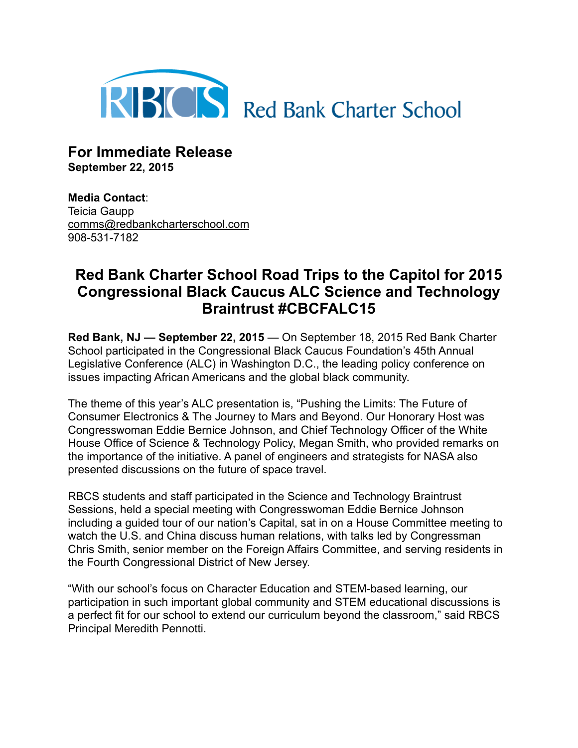

**For Immediate Release September 22, 2015**

**Media Contact**: Teicia Gaupp [comms@redbankcharterschool.com](mailto:comms@redbankcharterschool.com) 908-531-7182

## **Red Bank Charter School Road Trips to the Capitol for 2015 Congressional Black Caucus ALC Science and Technology Braintrust #CBCFALC15**

**Red Bank, NJ — September 22, 2015** — On September 18, 2015 Red Bank Charter School participated in the Congressional Black Caucus Foundation's 45th Annual Legislative Conference (ALC) in Washington D.C., the leading policy conference on issues impacting African Americans and the global black community.

The theme of this year's ALC presentation is, "Pushing the Limits: The Future of Consumer Electronics & The Journey to Mars and Beyond. Our Honorary Host was Congresswoman Eddie Bernice Johnson, and Chief Technology Officer of the White House Office of Science & Technology Policy, Megan Smith, who provided remarks on the importance of the initiative. A panel of engineers and strategists for NASA also presented discussions on the future of space travel.

RBCS students and staff participated in the Science and Technology Braintrust Sessions, held a special meeting with Congresswoman Eddie Bernice Johnson including a guided tour of our nation's Capital, sat in on a House Committee meeting to watch the U.S. and China discuss human relations, with talks led by Congressman Chris Smith, senior member on the Foreign Affairs Committee, and serving residents in the Fourth Congressional District of New Jersey.

"With our school's focus on Character Education and STEM-based learning, our participation in such important global community and STEM educational discussions is a perfect fit for our school to extend our curriculum beyond the classroom," said RBCS Principal Meredith Pennotti.